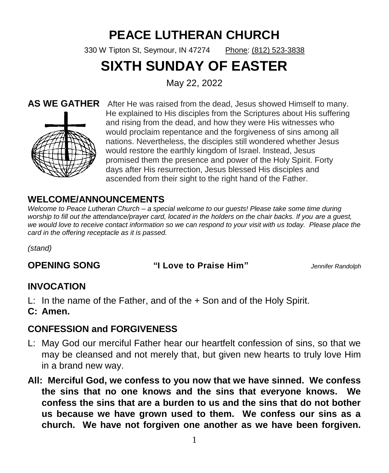# **PEACE LUTHERAN CHURCH**

330 W Tipton St, Seymour, IN 47274 [Phone:](https://www.google.com/search?q=seymourpeacelutheran+phone&ludocid=15502100511418108848&sa=X&ved=2ahUKEwjHr8qd7-vgAhVD9YMKHXLaC-UQ6BMwFXoECA8QAg) [\(812\) 523-3838](https://www.google.com/search?q=peace+lutheran+church+seymour+in&oq=peace+lutheran+church+seym&aqs=chrome.0.0j69i57.11093j1j8&sourceid=chrome&ie=UTF-8)

# **SIXTH SUNDAY OF EASTER**

May 22, 2022



**AS WE GATHER** After He was raised from the dead, Jesus showed Himself to many. He explained to His disciples from the Scriptures about His suffering and rising from the dead, and how they were His witnesses who would proclaim repentance and the forgiveness of sins among all nations. Nevertheless, the disciples still wondered whether Jesus would restore the earthly kingdom of Israel. Instead, Jesus promised them the presence and power of the Holy Spirit. Forty days after His resurrection, Jesus blessed His disciples and ascended from their sight to the right hand of the Father.

# **WELCOME/ANNOUNCEMENTS**

*Welcome to Peace Lutheran Church – a special welcome to our guests! Please take some time during*  worship to fill out the attendance/prayer card, located in the holders on the chair backs. If you are a guest, *we would love to receive contact information so we can respond to your visit with us today. Please place the card in the offering receptacle as it is passed.* 

*(stand)*

**OPENING SONG "I Love to Praise Him"** *Jennifer Randolph*

# **INVOCATION**

- L: In the name of the Father, and of the + Son and of the Holy Spirit.
- **C: Amen.**

# **CONFESSION and FORGIVENESS**

- L: May God our merciful Father hear our heartfelt confession of sins, so that we may be cleansed and not merely that, but given new hearts to truly love Him in a brand new way.
- **All: Merciful God, we confess to you now that we have sinned. We confess the sins that no one knows and the sins that everyone knows. We confess the sins that are a burden to us and the sins that do not bother us because we have grown used to them. We confess our sins as a church. We have not forgiven one another as we have been forgiven.**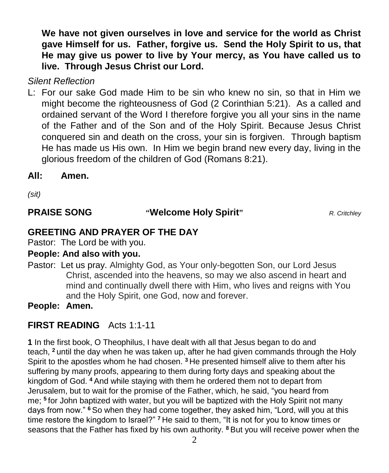**We have not given ourselves in love and service for the world as Christ gave Himself for us. Father, forgive us. Send the Holy Spirit to us, that He may give us power to live by Your mercy, as You have called us to live. Through Jesus Christ our Lord.**

*Silent Reflection*

L: For our sake God made Him to be sin who knew no sin, so that in Him we might become the righteousness of God (2 Corinthian 5:21). As a called and ordained servant of the Word I therefore forgive you all your sins in the name of the Father and of the Son and of the Holy Spirit. Because Jesus Christ conquered sin and death on the cross, your sin is forgiven. Through baptism He has made us His own. In Him we begin brand new every day, living in the glorious freedom of the children of God (Romans 8:21).

### **All: Amen.**

*(sit)*

**PRAISE SONG "Welcome Holy Spirit"** *R. Critchley*

# **GREETING AND PRAYER OF THE DAY**

Pastor: The Lord be with you.

#### **People: And also with you.**

Pastor: Let us pray. Almighty God, as Your only-begotten Son, our Lord Jesus Christ, ascended into the heavens, so may we also ascend in heart and mind and continually dwell there with Him, who lives and reigns with You and the Holy Spirit, one God, now and forever.

**People: Amen.**

# **FIRST READING** Acts 1:1-11

**1** In the first book, O Theophilus, I have dealt with all that Jesus began to do and teach, **<sup>2</sup>** until the day when he was taken up, after he had given commands through the Holy Spirit to the apostles whom he had chosen. **<sup>3</sup>** He presented himself alive to them after his suffering by many proofs, appearing to them during forty days and speaking about the kingdom of God. **<sup>4</sup>** And while staying with them he ordered them not to depart from Jerusalem, but to wait for the promise of the Father, which, he said, "you heard from me; **<sup>5</sup>** for John baptized with water, but you will be baptized with the Holy Spirit not many days from now." **<sup>6</sup>** So when they had come together, they asked him, "Lord, will you at this time restore the kingdom to Israel?" **<sup>7</sup>** He said to them, "It is not for you to know times or seasons that the Father has fixed by his own authority. **<sup>8</sup>** But you will receive power when the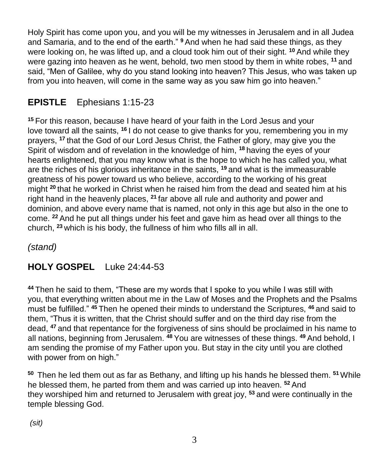Holy Spirit has come upon you, and you will be my witnesses in Jerusalem and in all Judea and Samaria, and to the end of the earth." **<sup>9</sup>** And when he had said these things, as they were looking on, he was lifted up, and a cloud took him out of their sight. **<sup>10</sup>** And while they were gazing into heaven as he went, behold, two men stood by them in white robes, **<sup>11</sup>** and said, "Men of Galilee, why do you stand looking into heaven? This Jesus, who was taken up from you into heaven, will come in the same way as you saw him go into heaven."

# **EPISTLE** Ephesians 1:15-23

**<sup>15</sup>** For this reason, because I have heard of your faith in the Lord Jesus and your love toward all the saints, **<sup>16</sup>** I do not cease to give thanks for you, remembering you in my prayers, **<sup>17</sup>** that the God of our Lord Jesus Christ, the Father of glory, may give you the Spirit of wisdom and of revelation in the knowledge of him, **<sup>18</sup>** having the eyes of your hearts enlightened, that you may know what is the hope to which he has called you, what are the riches of his glorious inheritance in the saints, **<sup>19</sup>** and what is the immeasurable greatness of his power toward us who believe, according to the working of his great might **<sup>20</sup>** that he worked in Christ when he raised him from the dead and seated him at his right hand in the heavenly places, **<sup>21</sup>** far above all rule and authority and power and dominion, and above every name that is named, not only in this age but also in the one to come. **<sup>22</sup>** And he put all things under his feet and gave him as head over all things to the church, **<sup>23</sup>** which is his body, the fullness of him who fills all in all.

*(stand)*

# **HOLY GOSPEL** Luke 24:44-53

**<sup>44</sup>** Then he said to them, "These are my words that I spoke to you while I was still with you, that everything written about me in the Law of Moses and the Prophets and the Psalms must be fulfilled." **<sup>45</sup>** Then he opened their minds to understand the Scriptures, **<sup>46</sup>** and said to them, "Thus it is written, that the Christ should suffer and on the third day rise from the dead, **<sup>47</sup>** and that repentance for the forgiveness of sins should be proclaimed in his name to all nations, beginning from Jerusalem. **<sup>48</sup>** You are witnesses of these things. **<sup>49</sup>** And behold, I am sending the promise of my Father upon you. But stay in the city until you are clothed with power from on high."

**<sup>50</sup>** Then he led them out as far as Bethany, and lifting up his hands he blessed them. **<sup>51</sup>**While he blessed them, he parted from them and was carried up into heaven. **<sup>52</sup>** And they worshiped him and returned to Jerusalem with great joy, **<sup>53</sup>** and were continually in the temple blessing God.

*(sit)*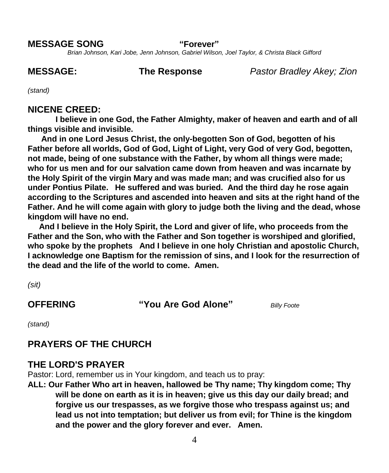#### **MESSAGE SONG "Forever"**

*Brian Johnson, Kari Jobe, Jenn Johnson, Gabriel Wilson, Joel Taylor, & Christa Black Gifford*

**MESSAGE: The Response** *Pastor Bradley Akey; Zion*

*(stand)*

#### **NICENE CREED:**

**I believe in one God, the Father Almighty, maker of heaven and earth and of all things visible and invisible.** 

 **And in one Lord Jesus Christ, the only-begotten Son of God, begotten of his Father before all worlds, God of God, Light of Light, very God of very God, begotten, not made, being of one substance with the Father, by whom all things were made; who for us men and for our salvation came down from heaven and was incarnate by the Holy Spirit of the virgin Mary and was made man; and was crucified also for us under Pontius Pilate. He suffered and was buried. And the third day he rose again according to the Scriptures and ascended into heaven and sits at the right hand of the Father. And he will come again with glory to judge both the living and the dead, whose kingdom will have no end.** 

 **And I believe in the Holy Spirit, the Lord and giver of life, who proceeds from the Father and the Son, who with the Father and Son together is worshiped and glorified, who spoke by the prophets And I believe in one holy Christian and apostolic Church, I acknowledge one Baptism for the remission of sins, and I look for the resurrection of the dead and the life of the world to come. Amen.**

*(sit)*

**OFFERING "You Are God Alone"** *Billy Foote*

*(stand)*

#### **PRAYERS OF THE CHURCH**

#### **THE LORD'S PRAYER**

Pastor: Lord, remember us in Your kingdom, and teach us to pray:

**ALL: Our Father Who art in heaven, hallowed be Thy name; Thy kingdom come; Thy will be done on earth as it is in heaven; give us this day our daily bread; and forgive us our trespasses, as we forgive those who trespass against us; and lead us not into temptation; but deliver us from evil; for Thine is the kingdom and the power and the glory forever and ever. Amen.**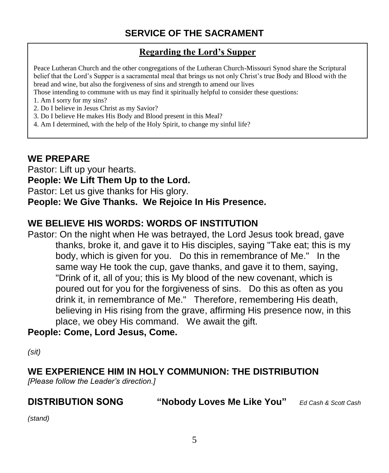# **SERVICE OF THE SACRAMENT**

#### **Regarding the Lord's Supper**

Peace Lutheran Church and the other congregations of the Lutheran Church-Missouri Synod share the Scriptural belief that the Lord's Supper is a sacramental meal that brings us not only Christ's true Body and Blood with the bread and wine, but also the forgiveness of sins and strength to amend our lives

Those intending to commune with us may find it spiritually helpful to consider these questions:

- 1. Am I sorry for my sins?
- 2. Do I believe in Jesus Christ as my Savior?
- 3. Do I believe He makes His Body and Blood present in this Meal?
- 4. Am I determined, with the help of the Holy Spirit, to change my sinful life?

# **WE PREPARE**

Pastor: Lift up your hearts. **People: We Lift Them Up to the Lord.** Pastor: Let us give thanks for His glory. **People: We Give Thanks. We Rejoice In His Presence.** 

### **WE BELIEVE HIS WORDS: WORDS OF INSTITUTION**

Pastor: On the night when He was betrayed, the Lord Jesus took bread, gave thanks, broke it, and gave it to His disciples, saying "Take eat; this is my body, which is given for you. Do this in remembrance of Me." In the same way He took the cup, gave thanks, and gave it to them, saying, "Drink of it, all of you; this is My blood of the new covenant, which is poured out for you for the forgiveness of sins. Do this as often as you drink it, in remembrance of Me." Therefore, remembering His death, believing in His rising from the grave, affirming His presence now, in this place, we obey His command. We await the gift.

#### **People: Come, Lord Jesus, Come.**

*(sit)*

#### **WE EXPERIENCE HIM IN HOLY COMMUNION: THE DISTRIBUTION**

*[Please follow the Leader's direction.]*

**DISTRIBUTION SONG "Nobody Loves Me Like You"** *Ed Cash & Scott Cash*

*(stand)*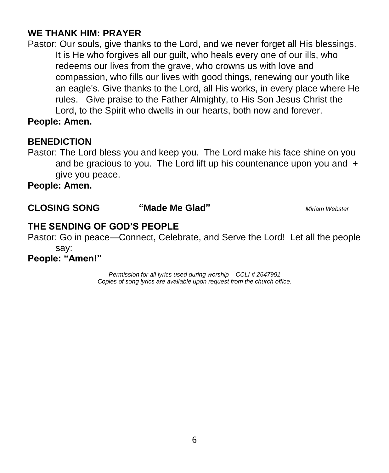# **WE THANK HIM: PRAYER**

Pastor: Our souls, give thanks to the Lord, and we never forget all His blessings. It is He who forgives all our guilt, who heals every one of our ills, who redeems our lives from the grave, who crowns us with love and compassion, who fills our lives with good things, renewing our youth like an eagle's. Give thanks to the Lord, all His works, in every place where He rules. Give praise to the Father Almighty, to His Son Jesus Christ the Lord, to the Spirit who dwells in our hearts, both now and forever.

**People: Amen.** 

#### **BENEDICTION**

Pastor: The Lord bless you and keep you. The Lord make his face shine on you and be gracious to you. The Lord lift up his countenance upon you and  $+$ give you peace.

**People: Amen.**

**CLOSING SONG "Made Me Glad"** *Miriam Webster*

### **THE SENDING OF GOD'S PEOPLE**

Pastor: Go in peace—Connect, Celebrate, and Serve the Lord! Let all the people say: **People: "Amen!"**

> *Permission for all lyrics used during worship – CCLI # 2647991 Copies of song lyrics are available upon request from the church office.*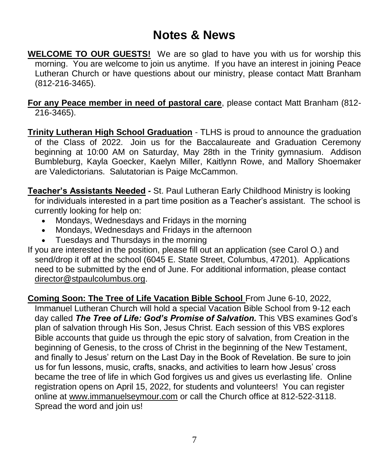# **Notes & News**

**WELCOME TO OUR GUESTS!** We are so glad to have you with us for worship this morning. You are welcome to join us anytime. If you have an interest in joining Peace Lutheran Church or have questions about our ministry, please contact Matt Branham (812-216-3465).

**For any Peace member in need of pastoral care**, please contact Matt Branham (812- 216-3465).

- **Trinity Lutheran High School Graduation** TLHS is proud to announce the graduation of the Class of 2022. Join us for the Baccalaureate and Graduation Ceremony beginning at 10:00 AM on Saturday, May 28th in the Trinity gymnasium. Addison Bumbleburg, Kayla Goecker, Kaelyn Miller, Kaitlynn Rowe, and Mallory Shoemaker are Valedictorians. Salutatorian is Paige McCammon.
- **Teacher's Assistants Needed** *-* St. Paul Lutheran Early Childhood Ministry is looking for individuals interested in a part time position as a Teacher's assistant. The school is currently looking for help on:
	- Mondays, Wednesdays and Fridays in the morning
	- Mondays, Wednesdays and Fridays in the afternoon
	- Tuesdays and Thursdays in the morning
- If you are interested in the position, please fill out an application (see Carol O.) and send/drop it off at the school (6045 E. State Street, Columbus, 47201). Applications need to be submitted by the end of June. For additional information, please contact [director@stpaulcolumbus.org.](mailto:director@stpaulcolumbus.org)

**Coming Soon: The Tree of Life Vacation Bible School** From June 6-10, 2022, Immanuel Lutheran Church will hold a special Vacation Bible School from 9-12 each day called *The Tree of Life: God's Promise of Salvation.* This VBS examines God's plan of salvation through His Son, Jesus Christ. Each session of this VBS explores Bible accounts that guide us through the epic story of salvation, from Creation in the beginning of Genesis, to the cross of Christ in the beginning of the New Testament, and finally to Jesus' return on the Last Day in the Book of Revelation. Be sure to join us for fun lessons, music, crafts, snacks, and activities to learn how Jesus' cross became the tree of life in which God forgives us and gives us everlasting life. Online registration opens on April 15, 2022, for students and volunteers! You can register online at [www.immanuelseymour.com](http://www.immanuelseymour.com/) or call the Church office at 812-522-3118. Spread the word and join us!